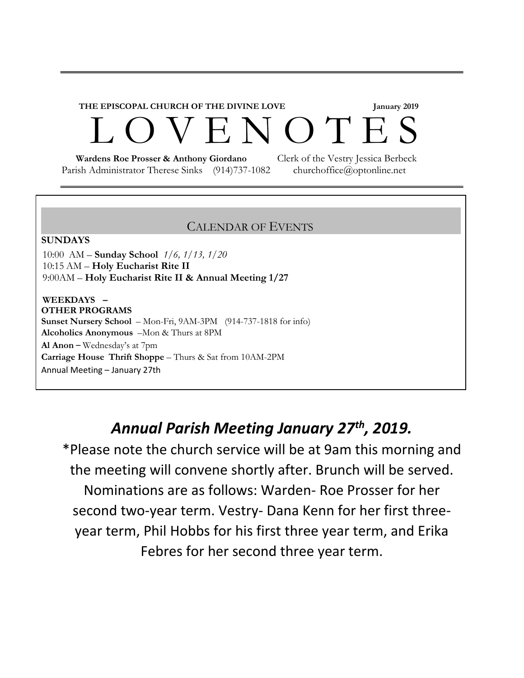# **THE EPISCOPAL CHURCH OF THE DIVINE LOVE January 2019**  EN O T E S

Parish Administrator Therese Sinks (914)737-1082 churchoffice@optonline.net

 **Wardens Roe Prosser & Anthony Giordano** Clerk of the Vestry Jessica Berbeck

#### CALENDAR OF EVENTS

#### **SUNDAYS**

10:00 AM – **Sunday School** *1/6, 1/13, 1/20* 10:15 AM – **Holy Eucharist Rite II** 9:00AM – **Holy Eucharist Rite II & Annual Meeting 1/27**

**WEEKDAYS – OTHER PROGRAMS Sunset Nursery School** – Mon-Fri, 9AM-3PM (914-737-1818 for info) **Alcoholics Anonymous** –Mon & Thurs at 8PM **Al Anon** – Wednesday's at 7pm **Carriage House Thrift Shoppe** – Thurs & Sat from 10AM-2PM Annual Meeting – January 27th

### *Annual Parish Meeting January 27th, 2019.*

\*Please note the church service will be at 9am this morning and the meeting will convene shortly after. Brunch will be served. Nominations are as follows: Warden- Roe Prosser for her second two-year term. Vestry- Dana Kenn for her first threeyear term, Phil Hobbs for his first three year term, and Erika Febres for her second three year term.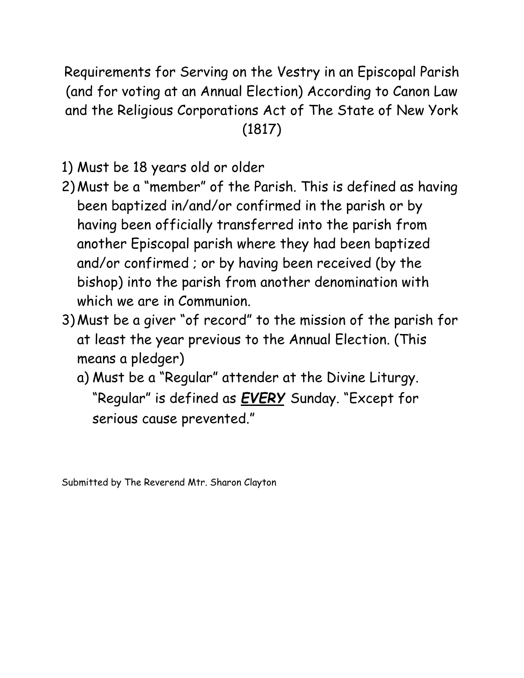Requirements for Serving on the Vestry in an Episcopal Parish (and for voting at an Annual Election) According to Canon Law and the Religious Corporations Act of The State of New York (1817)

1) Must be 18 years old or older

- 2) Must be a "member" of the Parish. This is defined as having been baptized in/and/or confirmed in the parish or by having been officially transferred into the parish from another Episcopal parish where they had been baptized and/or confirmed ; or by having been received (by the bishop) into the parish from another denomination with which we are in Communion.
- 3) Must be a giver "of record" to the mission of the parish for at least the year previous to the Annual Election. (This means a pledger)
	- a) Must be a "Regular" attender at the Divine Liturgy. "Regular" is defined as *EVERY* Sunday. "Except for serious cause prevented."

Submitted by The Reverend Mtr. Sharon Clayton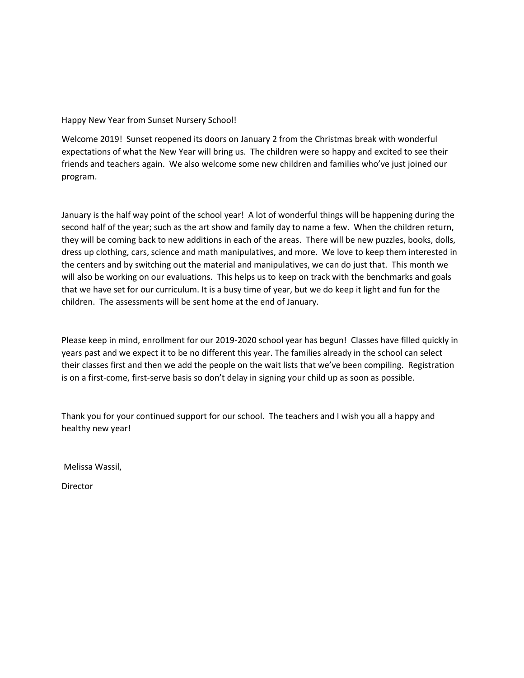#### Happy New Year from Sunset Nursery School!

Welcome 2019! Sunset reopened its doors on January 2 from the Christmas break with wonderful expectations of what the New Year will bring us. The children were so happy and excited to see their friends and teachers again. We also welcome some new children and families who've just joined our program.

January is the half way point of the school year! A lot of wonderful things will be happening during the second half of the year; such as the art show and family day to name a few. When the children return, they will be coming back to new additions in each of the areas. There will be new puzzles, books, dolls, dress up clothing, cars, science and math manipulatives, and more. We love to keep them interested in the centers and by switching out the material and manipulatives, we can do just that. This month we will also be working on our evaluations. This helps us to keep on track with the benchmarks and goals that we have set for our curriculum. It is a busy time of year, but we do keep it light and fun for the children. The assessments will be sent home at the end of January.

Please keep in mind, enrollment for our 2019-2020 school year has begun! Classes have filled quickly in years past and we expect it to be no different this year. The families already in the school can select their classes first and then we add the people on the wait lists that we've been compiling. Registration is on a first-come, first-serve basis so don't delay in signing your child up as soon as possible.

Thank you for your continued support for our school. The teachers and I wish you all a happy and healthy new year!

Melissa Wassil,

**Director**